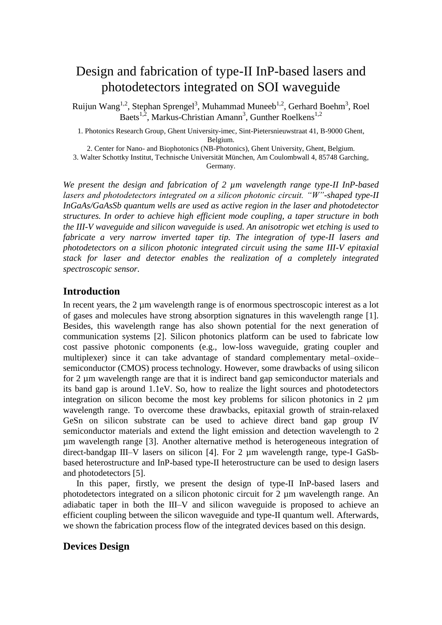# Design and fabrication of type-II InP-based lasers and photodetectors integrated on SOI waveguide

Ruijun Wang<sup>1,2</sup>, Stephan Sprengel<sup>3</sup>, Muhammad Muneeb<sup>1,2</sup>, Gerhard Boehm<sup>3</sup>, Roel Baets<sup>1,2</sup>, Markus-Christian Amann<sup>3</sup>, Gunther Roelkens<sup>1,2</sup>

1. Photonics Research Group, Ghent University-imec, Sint-Pietersnieuwstraat 41, B-9000 Ghent, Belgium.

2. Center for Nano- and Biophotonics (NB-Photonics), Ghent University, Ghent, Belgium.

3. Walter Schottky Institut, Technische Universität München, Am Coulombwall 4, 85748 Garching, Germany.

*We present the design and fabrication of 2 µm wavelength range type-II InP-based lasers and photodetectors integrated on a silicon photonic circuit. "W"-shaped type-II InGaAs/GaAsSb quantum wells are used as active region in the laser and photodetector structures. In order to achieve high efficient mode coupling, a taper structure in both the III-V waveguide and silicon waveguide is used. An anisotropic wet etching is used to fabricate a very narrow inverted taper tip. The integration of type-II lasers and photodetectors on a silicon photonic integrated circuit using the same III-V epitaxial stack for laser and detector enables the realization of a completely integrated spectroscopic sensor.* 

#### **Introduction**

In recent years, the 2 µm wavelength range is of enormous spectroscopic interest as a lot of gases and molecules have strong absorption signatures in this wavelength range [1]. Besides, this wavelength range has also shown potential for the next generation of communication systems [2]. Silicon photonics platform can be used to fabricate low cost passive photonic components (e.g., low-loss waveguide, grating coupler and multiplexer) since it can take advantage of standard complementary metal–oxide– semiconductor (CMOS) process technology. However, some drawbacks of using silicon for 2 µm wavelength range are that it is indirect band gap semiconductor materials and its band gap is around 1.1eV. So, how to realize the light sources and photodetectors integration on silicon become the most key problems for silicon photonics in 2  $\mu$ m wavelength range. To overcome these drawbacks, epitaxial growth of strain-relaxed GeSn on silicon substrate can be used to achieve direct band gap group IV semiconductor materials and extend the light emission and detection wavelength to 2 µm wavelength range [3]. Another alternative method is heterogeneous integration of direct-bandgap III–V lasers on silicon [4]. For 2 µm wavelength range, type-I GaSbbased heterostructure and InP-based type-II heterostructure can be used to design lasers and photodetectors [5].

In this paper, firstly, we present the design of type-II InP-based lasers and photodetectors integrated on a silicon photonic circuit for 2 µm wavelength range. An adiabatic taper in both the III–V and silicon waveguide is proposed to achieve an efficient coupling between the silicon waveguide and type-II quantum well. Afterwards, we shown the fabrication process flow of the integrated devices based on this design.

#### **Devices Design**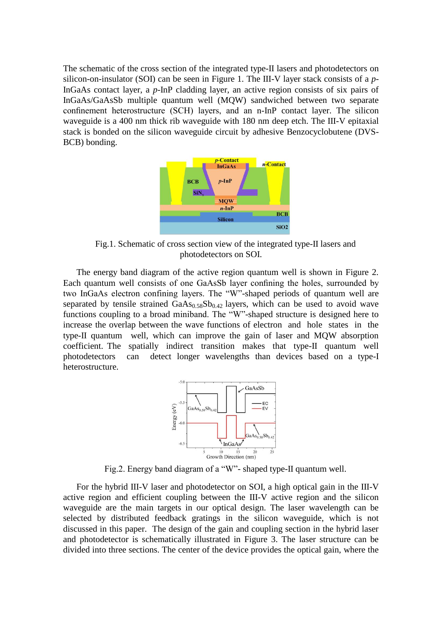The schematic of the cross section of the integrated type-II lasers and photodetectors on silicon-on-insulator (SOI) can be seen in Figure 1. The III-V layer stack consists of a *p*-InGaAs contact layer, a *p*-InP cladding layer, an active region consists of six pairs of InGaAs/GaAsSb multiple quantum well (MQW) sandwiched between two separate confinement heterostructure (SCH) layers, and an n-InP contact layer. The silicon waveguide is a 400 nm thick rib waveguide with 180 nm deep etch. The III-V epitaxial stack is bonded on the silicon waveguide circuit by adhesive Benzocyclobutene (DVS-BCB) bonding.



Fig.1. Schematic of cross section view of the integrated type-II lasers and photodetectors on SOI.

The energy band diagram of the active region quantum well is shown in Figure 2. Each quantum well consists of one GaAsSb layer confining the holes, surrounded by two InGaAs electron confining layers. The "W"-shaped periods of quantum well are separated by tensile strained  $GaAs<sub>0.58</sub>Sb<sub>0.42</sub>$  layers, which can be used to avoid wave functions coupling to a broad miniband. The "W"-shaped structure is designed here to increase the overlap between the wave functions of electron and hole states in the type-II quantum well, which can improve the gain of laser and MQW absorption coefficient. The spatially indirect transition makes that type-II quantum well photodetectors can detect longer wavelengths than devices based on a type-I heterostructure.



Fig.2. Energy band diagram of a "W"- shaped type-II quantum well.

For the hybrid III-V laser and photodetector on SOI, a high optical gain in the III-V active region and efficient coupling between the III-V active region and the silicon waveguide are the main targets in our optical design. The laser wavelength can be selected by distributed feedback gratings in the silicon waveguide, which is not discussed in this paper. The design of the gain and coupling section in the hybrid laser and photodetector is schematically illustrated in Figure 3. The laser structure can be divided into three sections. The center of the device provides the optical gain, where the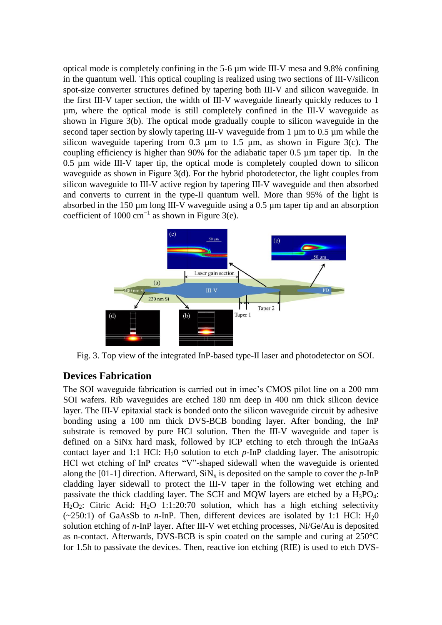optical mode is completely confining in the 5-6 µm wide III-V mesa and 9.8% confining in the quantum well. This optical coupling is realized using two sections of III-V/silicon spot-size converter structures defined by tapering both III-V and silicon waveguide. In the first III-V taper section, the width of III-V waveguide linearly quickly reduces to 1 µm, where the optical mode is still completely confined in the III-V waveguide as shown in Figure 3(b). The optical mode gradually couple to silicon waveguide in the second taper section by slowly tapering III-V waveguide from 1 µm to 0.5 µm while the silicon waveguide tapering from 0.3  $\mu$ m to 1.5  $\mu$ m, as shown in Figure 3(c). The coupling efficiency is higher than 90% for the adiabatic taper 0.5 µm taper tip. In the 0.5 µm wide III-V taper tip, the optical mode is completely coupled down to silicon waveguide as shown in Figure 3(d). For the hybrid photodetector, the light couples from silicon waveguide to III-V active region by tapering III-V waveguide and then absorbed and converts to current in the type-II quantum well. More than 95% of the light is absorbed in the 150 µm long III-V waveguide using a 0.5 µm taper tip and an absorption coefficient of 1000 cm<sup>-1</sup> as shown in Figure 3(e).



Fig. 3. Top view of the integrated InP-based type-II laser and photodetector on SOI.

### **Devices Fabrication**

The SOI waveguide fabrication is carried out in imec's CMOS pilot line on a 200 mm SOI wafers. Rib waveguides are etched 180 nm deep in 400 nm thick silicon device layer. The III-V epitaxial stack is bonded onto the silicon waveguide circuit by adhesive bonding using a 100 nm thick DVS-BCB bonding layer. After bonding, the InP substrate is removed by pure HCl solution. Then the III-V waveguide and taper is defined on a SiNx hard mask, followed by ICP etching to etch through the InGaAs contact layer and 1:1 HCl: H<sub>2</sub>0 solution to etch *p*-InP cladding layer. The anisotropic HCl wet etching of InP creates "V"-shaped sidewall when the waveguide is oriented along the [01-1] direction. Afterward,  $\text{SiN}_x$  is deposited on the sample to cover the *p*-InP cladding layer sidewall to protect the III-V taper in the following wet etching and passivate the thick cladding layer. The SCH and MQW layers are etched by a  $H_3PO_4$ :  $H_2O_2$ : Citric Acid:  $H_2O$  1:1:20:70 solution, which has a high etching selectivity  $(\sim 250:1)$  of GaAsSb to *n*-InP. Then, different devices are isolated by 1:1 HCl: H<sub>2</sub>0 solution etching of *n*-InP layer. After III-V wet etching processes, Ni/Ge/Au is deposited as n-contact. Afterwards, DVS-BCB is spin coated on the sample and curing at  $250^{\circ}$ C for 1.5h to passivate the devices. Then, reactive ion etching (RIE) is used to etch DVS-